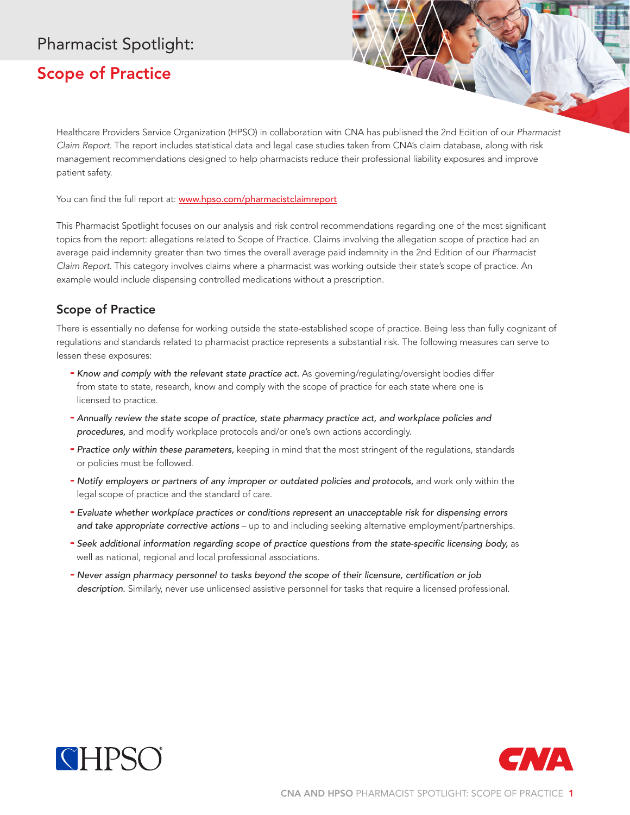## Pharmacist Spotlight:

## Scope of Practice

Healthcare Providers Service Organization (HPSO) in collaboration with CNA has published the 2nd Edition of our *Pharmacist Claim Report*. The report includes statistical data and legal case studies taken from CNA's claim database, along with risk management recommendations designed to help pharmacists reduce their professional liability exposures and improve patient safety.

You can find the full report at: www.hpso.com/pharmacistclaimreport

This Pharmacist Spotlight focuses on our analysis and risk control recommendations regarding one of the most significant topics from the report: allegations related to Scope of Practice. Claims involving the allegation scope of practice had an average paid indemnity greater than two times the overall average paid indemnity in the 2nd Edition of our *Pharmacist Claim Report*. This category involves claims where a pharmacist was working outside their state's scope of practice. An example would include dispensing controlled medications without a prescription.

## Scope of Practice

There is essentially no defense for working outside the state-established scope of practice. Being less than fully cognizant of regulations and standards related to pharmacist practice represents a substantial risk. The following measures can serve to lessen these exposures:

- *Know and comply with the relevant state practice act.* As governing/regulating/oversight bodies differ from state to state, research, know and comply with the scope of practice for each state where one is licensed to practice.
- *Annually review the state scope of practice, state pharmacy practice act, and workplace policies and procedures,* and modify workplace protocols and/or one's own actions accordingly.
- *Practice only within these parameters,* keeping in mind that the most stringent of the regulations, standards or policies must be followed.
- *Notify employers or partners of any improper or outdated policies and protocols,* and work only within the legal scope of practice and the standard of care.
- *Evaluate whether workplace practices or conditions represent an unacceptable risk for dispensing errors and take appropriate corrective actions* – up to and including seeking alternative employment/partnerships.
- *Seek additional information regarding scope of practice questions from the state-specific licensing body,* as well as national, regional and local professional associations.
- *Never assign pharmacy personnel to tasks beyond the scope of their licensure, certification or job description.* Similarly, never use unlicensed assistive personnel for tasks that require a licensed professional.



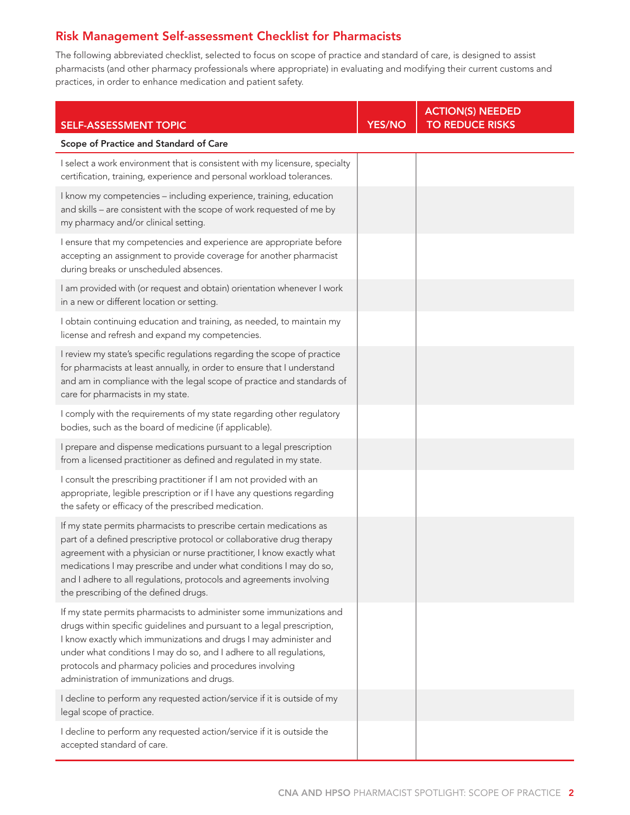## Risk Management Self-assessment Checklist for Pharmacists

The following abbreviated checklist, selected to focus on scope of practice and standard of care, is designed to assist pharmacists (and other pharmacy professionals where appropriate) in evaluating and modifying their current customs and practices, in order to enhance medication and patient safety.

| <b>SELF-ASSESSMENT TOPIC</b>                                                                                                                                                                                                                                                                                                                                                                                | <b>YES/NO</b> | <b>ACTION(S) NEEDED</b><br><b>TO REDUCE RISKS</b> |
|-------------------------------------------------------------------------------------------------------------------------------------------------------------------------------------------------------------------------------------------------------------------------------------------------------------------------------------------------------------------------------------------------------------|---------------|---------------------------------------------------|
| Scope of Practice and Standard of Care                                                                                                                                                                                                                                                                                                                                                                      |               |                                                   |
| I select a work environment that is consistent with my licensure, specialty<br>certification, training, experience and personal workload tolerances.                                                                                                                                                                                                                                                        |               |                                                   |
| I know my competencies - including experience, training, education<br>and skills - are consistent with the scope of work requested of me by<br>my pharmacy and/or clinical setting.                                                                                                                                                                                                                         |               |                                                   |
| I ensure that my competencies and experience are appropriate before<br>accepting an assignment to provide coverage for another pharmacist<br>during breaks or unscheduled absences.                                                                                                                                                                                                                         |               |                                                   |
| I am provided with (or request and obtain) orientation whenever I work<br>in a new or different location or setting.                                                                                                                                                                                                                                                                                        |               |                                                   |
| I obtain continuing education and training, as needed, to maintain my<br>license and refresh and expand my competencies.                                                                                                                                                                                                                                                                                    |               |                                                   |
| I review my state's specific regulations regarding the scope of practice<br>for pharmacists at least annually, in order to ensure that I understand<br>and am in compliance with the legal scope of practice and standards of<br>care for pharmacists in my state.                                                                                                                                          |               |                                                   |
| I comply with the requirements of my state regarding other regulatory<br>bodies, such as the board of medicine (if applicable).                                                                                                                                                                                                                                                                             |               |                                                   |
| I prepare and dispense medications pursuant to a legal prescription<br>from a licensed practitioner as defined and regulated in my state.                                                                                                                                                                                                                                                                   |               |                                                   |
| I consult the prescribing practitioner if I am not provided with an<br>appropriate, legible prescription or if I have any questions regarding<br>the safety or efficacy of the prescribed medication.                                                                                                                                                                                                       |               |                                                   |
| If my state permits pharmacists to prescribe certain medications as<br>part of a defined prescriptive protocol or collaborative drug therapy<br>agreement with a physician or nurse practitioner, I know exactly what<br>medications I may prescribe and under what conditions I may do so,<br>and I adhere to all regulations, protocols and agreements involving<br>the prescribing of the defined drugs. |               |                                                   |
| If my state permits pharmacists to administer some immunizations and<br>drugs within specific guidelines and pursuant to a legal prescription,<br>I know exactly which immunizations and drugs I may administer and<br>under what conditions I may do so, and I adhere to all regulations,<br>protocols and pharmacy policies and procedures involving<br>administration of immunizations and drugs.        |               |                                                   |
| I decline to perform any requested action/service if it is outside of my<br>legal scope of practice.                                                                                                                                                                                                                                                                                                        |               |                                                   |
| I decline to perform any requested action/service if it is outside the<br>accepted standard of care.                                                                                                                                                                                                                                                                                                        |               |                                                   |